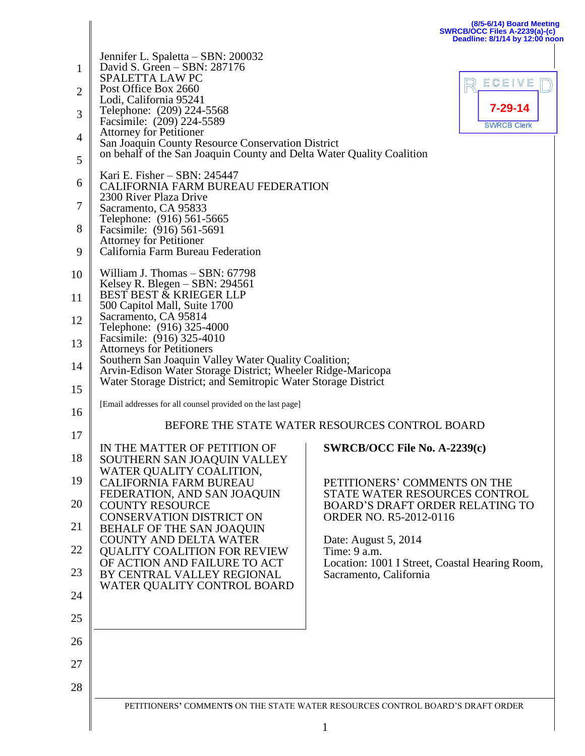|                                                                      |                                                                                                                                                                                                                                                                                                                                                                                                                                                                                | (8/5-6/14) Board Meeting<br>SWRCB/OCC Files A-2239(a)-(c)<br>Deadline: 8/1/14 by 12:00 noon                                                                                                                                                                                           |
|----------------------------------------------------------------------|--------------------------------------------------------------------------------------------------------------------------------------------------------------------------------------------------------------------------------------------------------------------------------------------------------------------------------------------------------------------------------------------------------------------------------------------------------------------------------|---------------------------------------------------------------------------------------------------------------------------------------------------------------------------------------------------------------------------------------------------------------------------------------|
| 1<br>2<br>3<br>4<br>5<br>6                                           | Jennifer L. Spaletta – SBN: 200032<br>David S. Green - SBN: 287176<br><b>SPALETTA LAW PC</b><br>Post Office Box 2660<br>Lodi, California 95241<br>Telephone: (209) 224-5568<br>Facsimile: (209) 224-5589<br><b>Attorney for Petitioner</b><br>San Joaquin County Resource Conservation District<br>on behalf of the San Joaquin County and Delta Water Quality Coalition<br>Kari E. Fisher – SBN: 245447<br><b>CALIFORNIA FARM BUREAU FEDERATION</b><br>2300 River Plaza Drive | ECEIVE<br>7-29-14<br><b>SWRCB Clerk</b>                                                                                                                                                                                                                                               |
| 7<br>8<br>9                                                          | Sacramento, CA 95833<br>Telephone: (916) 561-5665<br>Facsimile: (916) 561-5691<br><b>Attorney for Petitioner</b><br>California Farm Bureau Federation                                                                                                                                                                                                                                                                                                                          |                                                                                                                                                                                                                                                                                       |
| 10<br>11<br>12<br>13<br>14<br>15                                     | William J. Thomas - SBN: 67798<br>Kelsey R. Blegen $-$ SBN: 294561<br>BEST BEST & KRIEGER LLP<br>500 Capitol Mall, Suite 1700<br>Sacramento, CA 95814<br>Telephone: (916) 325-4000<br>Facsimile: (916) 325-4010<br><b>Attorneys for Petitioners</b><br>Southern San Joaquin Valley Water Quality Coalition;<br>Arvin-Edison Water Storage District; Wheeler Ridge-Maricopa<br>Water Storage District; and Semitropic Water Storage District                                    |                                                                                                                                                                                                                                                                                       |
| 16                                                                   | [Email addresses for all counsel provided on the last page]<br>BEFORE THE STATE WATER RESOURCES CONTROL BOARD                                                                                                                                                                                                                                                                                                                                                                  |                                                                                                                                                                                                                                                                                       |
| 17<br>18<br>19<br>20<br>21<br>22<br>23<br>24<br>25<br>26<br>27<br>28 | IN THE MATTER OF PETITION OF<br>SOUTHERN SAN JOAQUIN VALLEY<br>WATER QUALITY COALITION,<br><b>CALIFORNIA FARM BUREAU</b><br>FEDERATION, AND SAN JOAQUIN<br><b>COUNTY RESOURCE</b><br><b>CONSERVATION DISTRICT ON</b><br>BEHALF OF THE SAN JOAQUIN<br><b>COUNTY AND DELTA WATER</b><br><b>QUALITY COALITION FOR REVIEW</b><br>OF ACTION AND FAILURE TO ACT<br>BY CENTRAL VALLEY REGIONAL<br>WATER QUALITY CONTROL BOARD                                                         | SWRCB/OCC File No. A-2239(c)<br>PETITIONERS' COMMENTS ON THE<br>STATE WATER RESOURCES CONTROL<br><b>BOARD'S DRAFT ORDER RELATING TO</b><br>ORDER NO. R5-2012-0116<br>Date: August 5, 2014<br>Time: 9 a.m.<br>Location: 1001 I Street, Coastal Hearing Room,<br>Sacramento, California |
|                                                                      |                                                                                                                                                                                                                                                                                                                                                                                                                                                                                | PETITIONERS' COMMENTS ON THE STATE WATER RESOURCES CONTROL BOARD'S DRAFT ORDER                                                                                                                                                                                                        |
|                                                                      |                                                                                                                                                                                                                                                                                                                                                                                                                                                                                | $\mathbf{1}$                                                                                                                                                                                                                                                                          |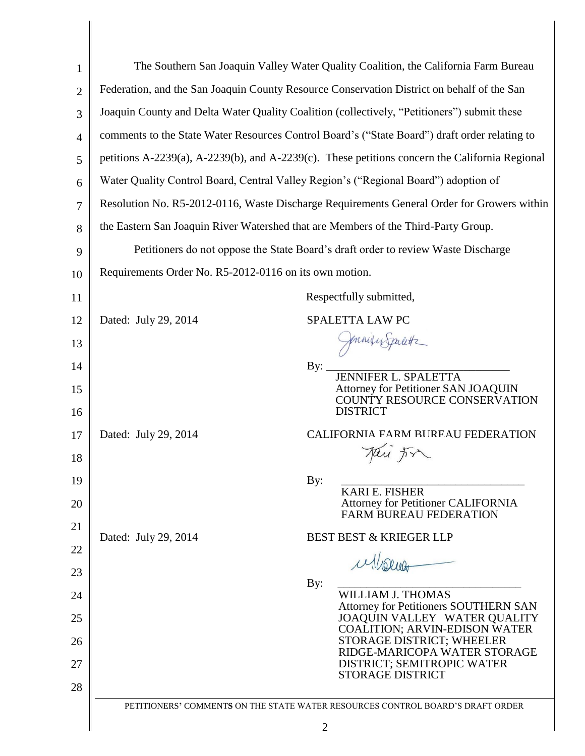| $\mathbf{1}$   |                                                                                               | The Southern San Joaquin Valley Water Quality Coalition, the California Farm Bureau            |
|----------------|-----------------------------------------------------------------------------------------------|------------------------------------------------------------------------------------------------|
| $\overline{2}$ |                                                                                               | Federation, and the San Joaquin County Resource Conservation District on behalf of the San     |
| 3              |                                                                                               | Joaquin County and Delta Water Quality Coalition (collectively, "Petitioners") submit these    |
| $\overline{4}$ | comments to the State Water Resources Control Board's ("State Board") draft order relating to |                                                                                                |
| 5              |                                                                                               | petitions A-2239(a), A-2239(b), and A-2239(c). These petitions concern the California Regional |
| 6              | Water Quality Control Board, Central Valley Region's ("Regional Board") adoption of           |                                                                                                |
| 7              | Resolution No. R5-2012-0116, Waste Discharge Requirements General Order for Growers within    |                                                                                                |
| 8              | the Eastern San Joaquin River Watershed that are Members of the Third-Party Group.            |                                                                                                |
| 9              | Petitioners do not oppose the State Board's draft order to review Waste Discharge             |                                                                                                |
| 10             | Requirements Order No. R5-2012-0116 on its own motion.                                        |                                                                                                |
| 11             |                                                                                               | Respectfully submitted,                                                                        |
| 12             | Dated: July 29, 2014                                                                          | SPALETTA LAW PC                                                                                |
| 13             |                                                                                               | Jonnique Spalette                                                                              |
| 14             |                                                                                               | By: $\overline{\phantom{0}}$                                                                   |
| 15<br>16       |                                                                                               | <b>Attorney for Petitioner SAN JOAQUIN</b><br>COUNTY RESOURCE CONSERVATION<br><b>DISTRICT</b>  |
| 17             | Dated: July 29, 2014                                                                          | CALIFORNIA FARM BUREAU FEDERATION                                                              |
| 18             |                                                                                               | Jai Fr                                                                                         |
| 19             |                                                                                               | By:                                                                                            |
| 20             |                                                                                               | <b>KARI E. FISHER</b><br><b>Attorney for Petitioner CALIFORNIA</b>                             |
| 21             |                                                                                               | <b>FARM BUREAU FEDERATION</b>                                                                  |
| 22             | Dated: July 29, 2014                                                                          | <b>BEST BEST &amp; KRIEGER LLP</b>                                                             |
| 23             |                                                                                               | ullorios                                                                                       |
| 24             |                                                                                               | By:<br><b>WILLIAM J. THOMAS</b>                                                                |
| 25             |                                                                                               | <b>Attorney for Petitioners SOUTHERN SAN</b><br>JOAQUIN VALLEY WATER QUALITY                   |
| 26             |                                                                                               | COALITION; ARVIN-EDISON WATER<br>STORAGE DISTRICT; WHEELER                                     |
| 27             |                                                                                               | RIDGE-MARICOPA WATER STORAGE<br>DISTRICT; SEMITROPIC WATER                                     |
| 28             |                                                                                               | <b>STORAGE DISTRICT</b>                                                                        |
|                |                                                                                               | PETITIONERS' COMMENTS ON THE STATE WATER RESOURCES CONTROL BOARD'S DRAFT ORDER                 |
|                |                                                                                               | $\overline{2}$                                                                                 |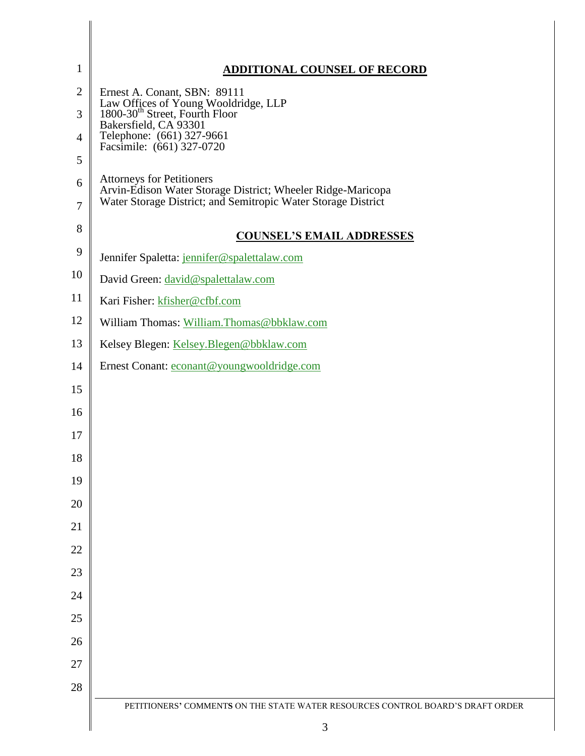| 1                   | <b>ADDITIONAL COUNSEL OF RECORD</b>                                                                                                                              |
|---------------------|------------------------------------------------------------------------------------------------------------------------------------------------------------------|
| $\mathbf{2}$        | Ernest A. Conant, SBN: 89111                                                                                                                                     |
| 3                   | Law Offices of Young Wooldridge, LLP 1800-30 <sup>th</sup> Street, Fourth Floor<br>Bakersfield, CA 93301                                                         |
| $\overline{4}$      | Telephone: (661) 327-9661<br>Facsimile: (661) 327-0720                                                                                                           |
| 5                   |                                                                                                                                                                  |
| 6<br>$\overline{7}$ | <b>Attorneys for Petitioners</b><br>Arvin-Edison Water Storage District; Wheeler Ridge-Maricopa<br>Water Storage District; and Semitropic Water Storage District |
| 8                   | <b>COUNSEL'S EMAIL ADDRESSES</b>                                                                                                                                 |
| 9                   | Jennifer Spaletta: jennifer@spalettalaw.com                                                                                                                      |
| 10                  | David Green: david@spalettalaw.com                                                                                                                               |
| 11                  | Kari Fisher: kfisher@cfbf.com                                                                                                                                    |
| 12                  | William Thomas: William. Thomas@bbklaw.com                                                                                                                       |
| 13                  | Kelsey Blegen: Kelsey. Blegen@bbklaw.com                                                                                                                         |
| 14                  | Ernest Conant: econant@youngwooldridge.com                                                                                                                       |
| 15                  |                                                                                                                                                                  |
| 16                  |                                                                                                                                                                  |
| 17                  |                                                                                                                                                                  |
| 18                  |                                                                                                                                                                  |
| 19                  |                                                                                                                                                                  |
| 20                  |                                                                                                                                                                  |
| 21                  |                                                                                                                                                                  |
| 22                  |                                                                                                                                                                  |
| 23                  |                                                                                                                                                                  |
| 24                  |                                                                                                                                                                  |
| 25                  |                                                                                                                                                                  |
| 26                  |                                                                                                                                                                  |
| 27                  |                                                                                                                                                                  |
| 28                  |                                                                                                                                                                  |
|                     | PETITIONERS' COMMENTS ON THE STATE WATER RESOURCES CONTROL BOARD'S DRAFT ORDER                                                                                   |
|                     | 3                                                                                                                                                                |

I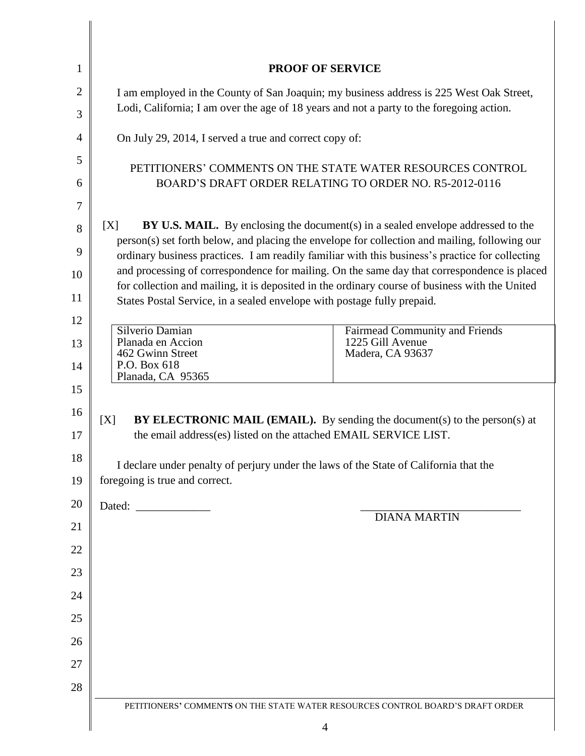| 1              | <b>PROOF OF SERVICE</b>                                                                                                                                                                         |  |
|----------------|-------------------------------------------------------------------------------------------------------------------------------------------------------------------------------------------------|--|
| $\overline{2}$ | I am employed in the County of San Joaquin; my business address is 225 West Oak Street,                                                                                                         |  |
| 3              | Lodi, California; I am over the age of 18 years and not a party to the foregoing action.                                                                                                        |  |
| $\overline{4}$ | On July 29, 2014, I served a true and correct copy of:                                                                                                                                          |  |
| 5              | PETITIONERS' COMMENTS ON THE STATE WATER RESOURCES CONTROL                                                                                                                                      |  |
| 6              | BOARD'S DRAFT ORDER RELATING TO ORDER NO. R5-2012-0116                                                                                                                                          |  |
| 7              |                                                                                                                                                                                                 |  |
| 8              | [X]<br><b>BY U.S. MAIL.</b> By enclosing the document(s) in a sealed envelope addressed to the<br>person(s) set forth below, and placing the envelope for collection and mailing, following our |  |
| 9              | ordinary business practices. I am readily familiar with this business's practice for collecting                                                                                                 |  |
| 10             | and processing of correspondence for mailing. On the same day that correspondence is placed<br>for collection and mailing, it is deposited in the ordinary course of business with the United   |  |
| 11             | States Postal Service, in a sealed envelope with postage fully prepaid.                                                                                                                         |  |
| 12             | Silverio Damian<br><b>Fairmead Community and Friends</b>                                                                                                                                        |  |
| 13             | Planada en Accion<br>1225 Gill Avenue<br>462 Gwinn Street<br>Madera, CA 93637                                                                                                                   |  |
| 14             | P.O. Box 618<br>Planada, CA 95365                                                                                                                                                               |  |
| 15             |                                                                                                                                                                                                 |  |
| 16             | BY ELECTRONIC MAIL (EMAIL). By sending the document(s) to the person(s) at<br>[X]                                                                                                               |  |
| 17             | the email address(es) listed on the attached EMAIL SERVICE LIST.                                                                                                                                |  |
| 18             | I declare under penalty of perjury under the laws of the State of California that the                                                                                                           |  |
| 19             | foregoing is true and correct.                                                                                                                                                                  |  |
| 20             | <b>DIANA MARTIN</b>                                                                                                                                                                             |  |
| 21             |                                                                                                                                                                                                 |  |
| 22             |                                                                                                                                                                                                 |  |
| 23             |                                                                                                                                                                                                 |  |
| 24             |                                                                                                                                                                                                 |  |
| 25             |                                                                                                                                                                                                 |  |
| 26             |                                                                                                                                                                                                 |  |
| 27             |                                                                                                                                                                                                 |  |
| 28             |                                                                                                                                                                                                 |  |
|                | PETITIONERS' COMMENTS ON THE STATE WATER RESOURCES CONTROL BOARD'S DRAFT ORDER                                                                                                                  |  |
|                | 4                                                                                                                                                                                               |  |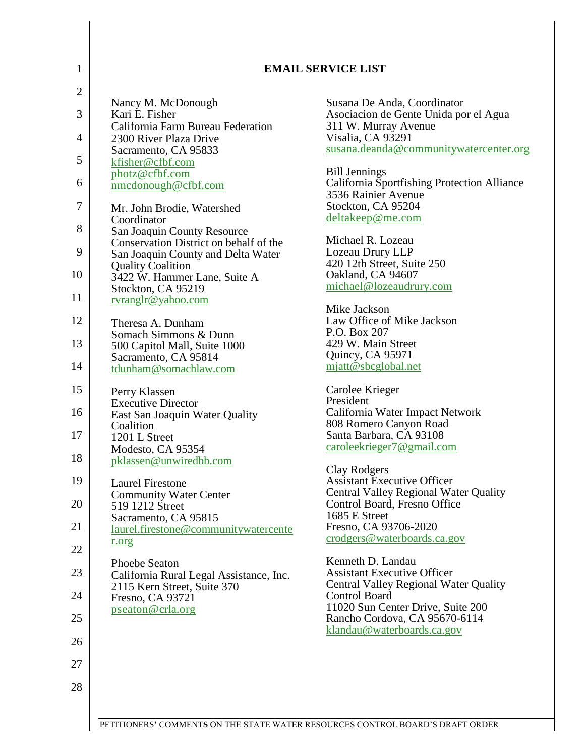| $\mathbf{1}$   |                                                                | <b>EMAIL SERVICE LIST</b>                                                   |
|----------------|----------------------------------------------------------------|-----------------------------------------------------------------------------|
| $\overline{c}$ | Nancy M. McDonough                                             | Susana De Anda, Coordinator                                                 |
| 3              | Kari E. Fisher<br>California Farm Bureau Federation            | Asociacion de Gente Unida por el Agua<br>311 W. Murray Avenue               |
| 4              | 2300 River Plaza Drive                                         | Visalia, CA 93291                                                           |
| 5              | Sacramento, CA 95833                                           | susana.deanda@communitywatercenter.org                                      |
|                | kfisher@cfbf.com<br>photz@cfbf.com                             | <b>Bill Jennings</b>                                                        |
| 6              | $n$ mcdonough@cfbf.com                                         | <b>California Sportfishing Protection Alliance</b><br>3536 Rainier Avenue   |
| 7              | Mr. John Brodie, Watershed                                     | Stockton, CA 95204<br>deltakeep@me.com                                      |
| 8              | Coordinator<br>San Joaquin County Resource                     |                                                                             |
| 9              | Conservation District on behalf of the                         | Michael R. Lozeau<br>Lozeau Drury LLP                                       |
|                | San Joaquin County and Delta Water<br><b>Quality Coalition</b> | 420 12th Street, Suite 250                                                  |
| 10             | 3422 W. Hammer Lane, Suite A                                   | Oakland, CA 94607                                                           |
| 11             | Stockton, CA 95219<br>rvranglr@yahoo.com                       | michael@lozeaudrury.com                                                     |
|                |                                                                | Mike Jackson                                                                |
| 12             | Theresa A. Dunham                                              | Law Office of Mike Jackson                                                  |
| 13             | Somach Simmons & Dunn                                          | P.O. Box 207<br>429 W. Main Street                                          |
|                | 500 Capitol Mall, Suite 1000<br>Sacramento, CA 95814           | Quincy, CA 95971                                                            |
| 14             | tdunham@somachlaw.com                                          | mjatt@sbcglobal.net                                                         |
| 15             | Perry Klassen                                                  | Carolee Krieger                                                             |
| 16             | <b>Executive Director</b><br>East San Joaquin Water Quality    | President<br>California Water Impact Network                                |
|                | Coalition                                                      | 808 Romero Canyon Road                                                      |
| 17             | 1201 L Street                                                  | Santa Barbara, CA 93108<br>caroleekrieger7@gmail.com                        |
| 18             | Modesto, CA 95354<br>pklassen@unwiredbb.com                    |                                                                             |
| 19             |                                                                | <b>Clay Rodgers</b><br><b>Assistant Executive Officer</b>                   |
|                | <b>Laurel Firestone</b><br><b>Community Water Center</b>       | <b>Central Valley Regional Water Quality</b>                                |
| 20             | 519 1212 Street                                                | Control Board, Fresno Office<br>1685 E Street                               |
| 21             | Sacramento, CA 95815<br>laurel.firestone@communitywatercente   | Fresno, CA 93706-2020                                                       |
| 22             | r.org                                                          | crodgers@waterboards.ca.gov                                                 |
|                | <b>Phoebe Seaton</b>                                           | Kenneth D. Landau                                                           |
| 23             | California Rural Legal Assistance, Inc.                        | <b>Assistant Executive Officer</b><br>Central Valley Regional Water Quality |
| 24             | 2115 Kern Street, Suite 370<br>Fresno, CA 93721                | Control Board                                                               |
|                | pseaton@crla.org                                               | 11020 Sun Center Drive, Suite 200                                           |
| 25             |                                                                | Rancho Cordova, CA 95670-6114<br>klandau@waterboards.ca.gov                 |
| 26             |                                                                |                                                                             |
| 27             |                                                                |                                                                             |
| 28             |                                                                |                                                                             |
|                |                                                                |                                                                             |
|                |                                                                |                                                                             |